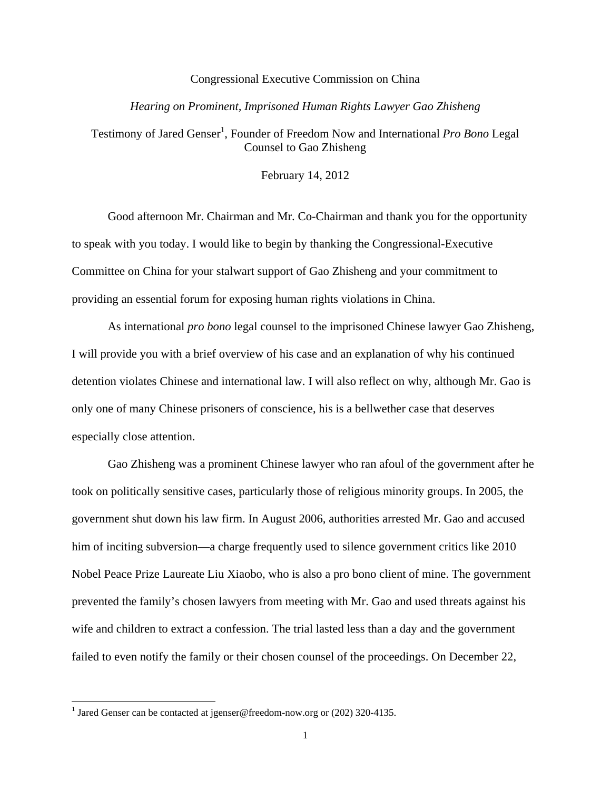## Congressional Executive Commission on China

## *Hearing on Prominent, Imprisoned Human Rights Lawyer Gao Zhisheng*

Testimony of Jared Genser<sup>1</sup>, Founder of Freedom Now and International Pro Bono Legal Counsel to Gao Zhisheng

February 14, 2012

Good afternoon Mr. Chairman and Mr. Co-Chairman and thank you for the opportunity to speak with you today. I would like to begin by thanking the Congressional-Executive Committee on China for your stalwart support of Gao Zhisheng and your commitment to providing an essential forum for exposing human rights violations in China.

As international *pro bono* legal counsel to the imprisoned Chinese lawyer Gao Zhisheng, I will provide you with a brief overview of his case and an explanation of why his continued detention violates Chinese and international law. I will also reflect on why, although Mr. Gao is only one of many Chinese prisoners of conscience, his is a bellwether case that deserves especially close attention.

Gao Zhisheng was a prominent Chinese lawyer who ran afoul of the government after he took on politically sensitive cases, particularly those of religious minority groups. In 2005, the government shut down his law firm. In August 2006, authorities arrested Mr. Gao and accused him of inciting subversion—a charge frequently used to silence government critics like 2010 Nobel Peace Prize Laureate Liu Xiaobo, who is also a pro bono client of mine. The government prevented the family's chosen lawyers from meeting with Mr. Gao and used threats against his wife and children to extract a confession. The trial lasted less than a day and the government failed to even notify the family or their chosen counsel of the proceedings. On December 22,

<sup>&</sup>lt;sup>1</sup> Jared Genser can be contacted at jgenser@freedom-now.org or (202) 320-4135.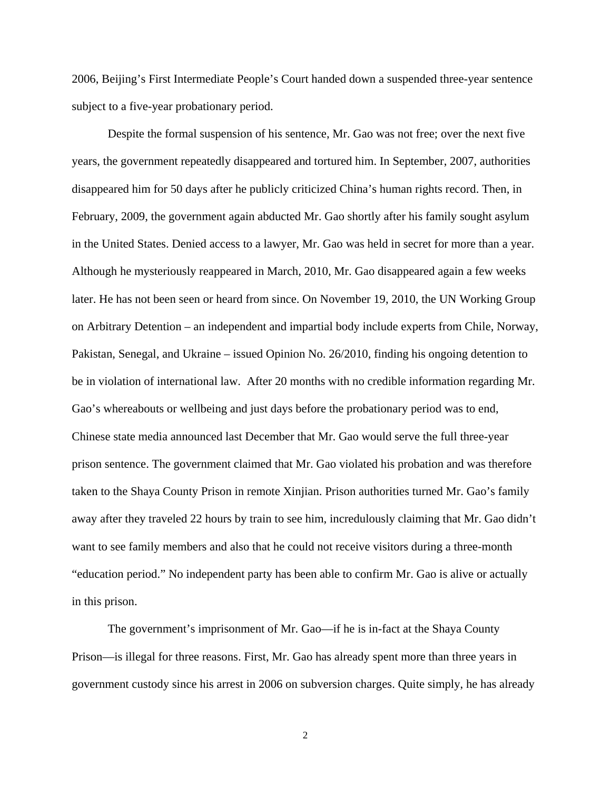2006, Beijing's First Intermediate People's Court handed down a suspended three-year sentence subject to a five-year probationary period.

Despite the formal suspension of his sentence, Mr. Gao was not free; over the next five years, the government repeatedly disappeared and tortured him. In September, 2007, authorities disappeared him for 50 days after he publicly criticized China's human rights record. Then, in February, 2009, the government again abducted Mr. Gao shortly after his family sought asylum in the United States. Denied access to a lawyer, Mr. Gao was held in secret for more than a year. Although he mysteriously reappeared in March, 2010, Mr. Gao disappeared again a few weeks later. He has not been seen or heard from since. On November 19, 2010, the UN Working Group on Arbitrary Detention – an independent and impartial body include experts from Chile, Norway, Pakistan, Senegal, and Ukraine – issued Opinion No. 26/2010, finding his ongoing detention to be in violation of international law. After 20 months with no credible information regarding Mr. Gao's whereabouts or wellbeing and just days before the probationary period was to end, Chinese state media announced last December that Mr. Gao would serve the full three-year prison sentence. The government claimed that Mr. Gao violated his probation and was therefore taken to the Shaya County Prison in remote Xinjian. Prison authorities turned Mr. Gao's family away after they traveled 22 hours by train to see him, incredulously claiming that Mr. Gao didn't want to see family members and also that he could not receive visitors during a three-month "education period." No independent party has been able to confirm Mr. Gao is alive or actually in this prison.

The government's imprisonment of Mr. Gao—if he is in-fact at the Shaya County Prison—is illegal for three reasons. First, Mr. Gao has already spent more than three years in government custody since his arrest in 2006 on subversion charges. Quite simply, he has already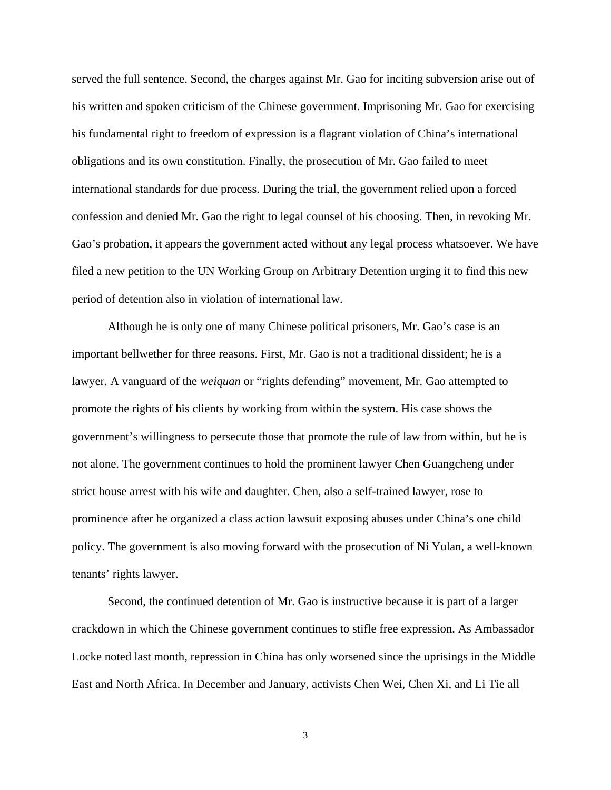served the full sentence. Second, the charges against Mr. Gao for inciting subversion arise out of his written and spoken criticism of the Chinese government. Imprisoning Mr. Gao for exercising his fundamental right to freedom of expression is a flagrant violation of China's international obligations and its own constitution. Finally, the prosecution of Mr. Gao failed to meet international standards for due process. During the trial, the government relied upon a forced confession and denied Mr. Gao the right to legal counsel of his choosing. Then, in revoking Mr. Gao's probation, it appears the government acted without any legal process whatsoever. We have filed a new petition to the UN Working Group on Arbitrary Detention urging it to find this new period of detention also in violation of international law.

Although he is only one of many Chinese political prisoners, Mr. Gao's case is an important bellwether for three reasons. First, Mr. Gao is not a traditional dissident; he is a lawyer. A vanguard of the *weiquan* or "rights defending" movement, Mr. Gao attempted to promote the rights of his clients by working from within the system. His case shows the government's willingness to persecute those that promote the rule of law from within, but he is not alone. The government continues to hold the prominent lawyer Chen Guangcheng under strict house arrest with his wife and daughter. Chen, also a self-trained lawyer, rose to prominence after he organized a class action lawsuit exposing abuses under China's one child policy. The government is also moving forward with the prosecution of Ni Yulan, a well-known tenants' rights lawyer.

Second, the continued detention of Mr. Gao is instructive because it is part of a larger crackdown in which the Chinese government continues to stifle free expression. As Ambassador Locke noted last month, repression in China has only worsened since the uprisings in the Middle East and North Africa. In December and January, activists Chen Wei, Chen Xi, and Li Tie all